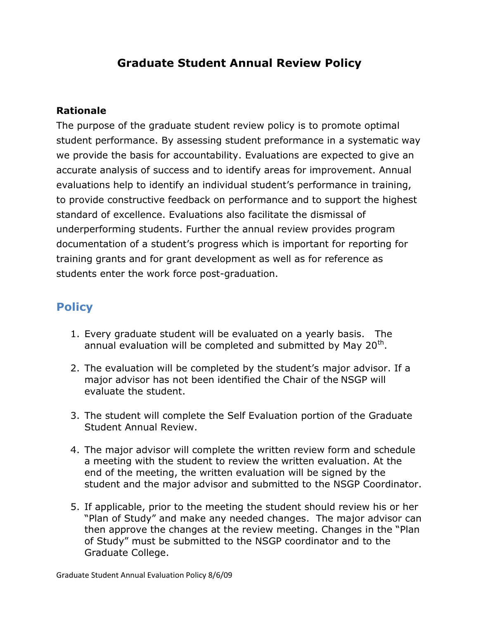## **Graduate Student Annual Review Policy**

## **Rationale**

The purpose of the graduate student review policy is to promote optimal student performance. By assessing student preformance in a systematic way we provide the basis for accountability. Evaluations are expected to give an accurate analysis of success and to identify areas for improvement. Annual evaluations help to identify an individual student's performance in training, to provide constructive feedback on performance and to support the highest standard of excellence. Evaluations also facilitate the dismissal of underperforming students. Further the annual review provides program documentation of a student's progress which is important for reporting for training grants and for grant development as well as for reference as students enter the work force post-graduation.

## **Policy**

- 1. Every graduate student will be evaluated on a yearly basis. The annual evaluation will be completed and submitted by May 20<sup>th</sup>.
- 2. The evaluation will be completed by the student's major advisor. If a major advisor has not been identified the Chair of the NSGP will evaluate the student.
- 3. The student will complete the Self Evaluation portion of the Graduate Student Annual Review.
- 4. The major advisor will complete the written review form and schedule a meeting with the student to review the written evaluation. At the end of the meeting, the written evaluation will be signed by the student and the major advisor and submitted to the NSGP Coordinator.
- 5. If applicable, prior to the meeting the student should review his or her "Plan of Study" and make any needed changes. The major advisor can then approve the changes at the review meeting. Changes in the "Plan of Study" must be submitted to the NSGP coordinator and to the Graduate College.